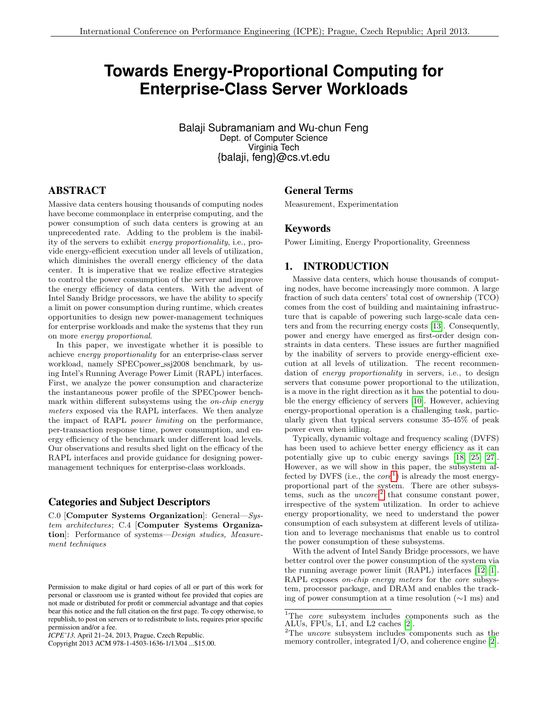# **Towards Energy-Proportional Computing for Enterprise-Class Server Workloads**

Balaji Subramaniam and Wu-chun Feng Dept. of Computer Science Virginia Tech {balaji, feng}@cs.vt.edu

## ABSTRACT

Massive data centers housing thousands of computing nodes have become commonplace in enterprise computing, and the power consumption of such data centers is growing at an unprecedented rate. Adding to the problem is the inability of the servers to exhibit energy proportionality, i.e., provide energy-efficient execution under all levels of utilization, which diminishes the overall energy efficiency of the data center. It is imperative that we realize effective strategies to control the power consumption of the server and improve the energy efficiency of data centers. With the advent of Intel Sandy Bridge processors, we have the ability to specify a limit on power consumption during runtime, which creates opportunities to design new power-management techniques for enterprise workloads and make the systems that they run on more energy proportional.

In this paper, we investigate whether it is possible to achieve energy proportionality for an enterprise-class server workload, namely SPECpower\_ssj2008 benchmark, by using Intel's Running Average Power Limit (RAPL) interfaces. First, we analyze the power consumption and characterize the instantaneous power profile of the SPECpower benchmark within different subsystems using the *on-chip energy* meters exposed via the RAPL interfaces. We then analyze the impact of RAPL power limiting on the performance, per-transaction response time, power consumption, and energy efficiency of the benchmark under different load levels. Our observations and results shed light on the efficacy of the RAPL interfaces and provide guidance for designing powermanagement techniques for enterprise-class workloads.

## Categories and Subject Descriptors

C.0 [Computer Systems Organization]: General—System architectures; C.4 [Computer Systems Organization]: Performance of systems—*Design studies*, Measurement techniques

## General Terms

Measurement, Experimentation

#### Keywords

Power Limiting, Energy Proportionality, Greenness

## 1. INTRODUCTION

Massive data centers, which house thousands of computing nodes, have become increasingly more common. A large fraction of such data centers' total cost of ownership (TCO) comes from the cost of building and maintaining infrastructure that is capable of powering such large-scale data centers and from the recurring energy costs [\[13\]](#page-11-0). Consequently, power and energy have emerged as first-order design constraints in data centers. These issues are further magnified by the inability of servers to provide energy-efficient execution at all levels of utilization. The recent recommendation of energy proportionality in servers, i.e., to design servers that consume power proportional to the utilization, is a move in the right direction as it has the potential to double the energy efficiency of servers [\[10\]](#page-11-1). However, achieving energy-proportional operation is a challenging task, particularly given that typical servers consume 35-45% of peak power even when idling.

Typically, dynamic voltage and frequency scaling (DVFS) has been used to achieve better energy efficiency as it can potentially give up to cubic energy savings [\[18,](#page-11-2) [25,](#page-11-3) [27\]](#page-11-4). However, as we will show in this paper, the subsystem affected by DVFS (i.e., the  $core<sup>1</sup>$  $core<sup>1</sup>$  $core<sup>1</sup>$ ) is already the most energyproportional part of the system. There are other subsystems, such as the  $uncore$ <sup>[2](#page-0-1)</sup> that consume constant power, irrespective of the system utilization. In order to achieve energy proportionality, we need to understand the power consumption of each subsystem at different levels of utilization and to leverage mechanisms that enable us to control the power consumption of these subsystems.

With the advent of Intel Sandy Bridge processors, we have better control over the power consumption of the system via the running average power limit (RAPL) interfaces [\[12,](#page-11-5) [1\]](#page-11-6). RAPL exposes *on-chip energy meters* for the *core* subsystem, processor package, and DRAM and enables the tracking of power consumption at a time resolution (∼1 ms) and

Permission to make digital or hard copies of all or part of this work for personal or classroom use is granted without fee provided that copies are not made or distributed for profit or commercial advantage and that copies bear this notice and the full citation on the first page. To copy otherwise, to republish, to post on servers or to redistribute to lists, requires prior specific permission and/or a fee.

*ICPE'13,* April 21–24, 2013, Prague, Czech Republic.

Copyright 2013 ACM 978-1-4503-1636-1/13/04 ...\$15.00.

<span id="page-0-0"></span><sup>&</sup>lt;sup>1</sup>The *core* subsystem includes components such as the ALUs, FPUs, L1, and L2 caches [\[2\]](#page-11-7).

<span id="page-0-1"></span><sup>2</sup>The uncore subsystem includes components such as the memory controller, integrated I/O, and coherence engine [\[2\]](#page-11-7).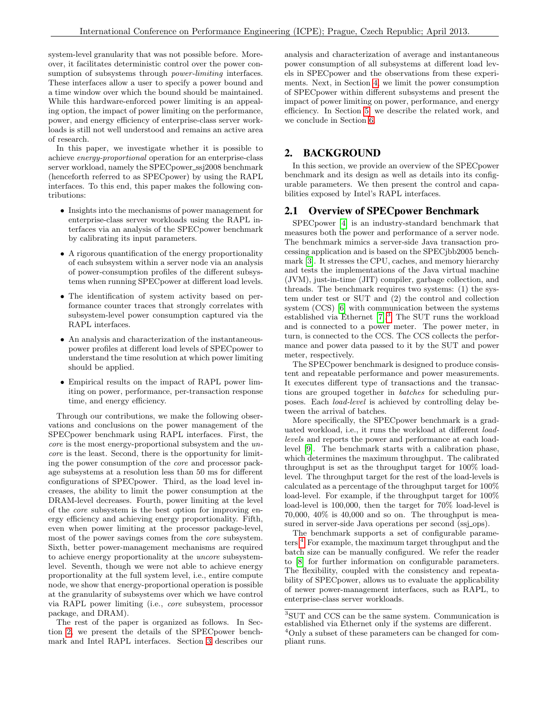system-level granularity that was not possible before. Moreover, it facilitates deterministic control over the power consumption of subsystems through *power-limiting* interfaces. These interfaces allow a user to specify a power bound and a time window over which the bound should be maintained. While this hardware-enforced power limiting is an appealing option, the impact of power limiting on the performance, power, and energy efficiency of enterprise-class server workloads is still not well understood and remains an active area of research.

In this paper, we investigate whether it is possible to achieve energy-proportional operation for an enterprise-class server workload, namely the SPECpower\_ssj2008 benchmark (henceforth referred to as SPECpower) by using the RAPL interfaces. To this end, this paper makes the following contributions:

- Insights into the mechanisms of power management for enterprise-class server workloads using the RAPL interfaces via an analysis of the SPECpower benchmark by calibrating its input parameters.
- A rigorous quantification of the energy proportionality of each subsystem within a server node via an analysis of power-consumption profiles of the different subsystems when running SPECpower at different load levels.
- The identification of system activity based on performance counter traces that strongly correlates with subsystem-level power consumption captured via the RAPL interfaces.
- An analysis and characterization of the instantaneouspower profiles at different load levels of SPECpower to understand the time resolution at which power limiting should be applied.
- Empirical results on the impact of RAPL power limiting on power, performance, per-transaction response time, and energy efficiency.

Through our contributions, we make the following observations and conclusions on the power management of the SPECpower benchmark using RAPL interfaces. First, the core is the most energy-proportional subsystem and the uncore is the least. Second, there is the opportunity for limiting the power consumption of the core and processor package subsystems at a resolution less than 50 ms for different configurations of SPECpower. Third, as the load level increases, the ability to limit the power consumption at the DRAM-level decreases. Fourth, power limiting at the level of the core subsystem is the best option for improving energy efficiency and achieving energy proportionality. Fifth, even when power limiting at the processor package-level, most of the power savings comes from the core subsystem. Sixth, better power-management mechanisms are required to achieve energy proportionality at the uncore subsystemlevel. Seventh, though we were not able to achieve energy proportionality at the full system level, i.e., entire compute node, we show that energy-proportional operation is possible at the granularity of subsystems over which we have control via RAPL power limiting (i.e., core subsystem, processor package, and DRAM).

The rest of the paper is organized as follows. In Section [2,](#page-1-0) we present the details of the SPECpower benchmark and Intel RAPL interfaces. Section [3](#page-2-0) describes our analysis and characterization of average and instantaneous power consumption of all subsystems at different load levels in SPECpower and the observations from these experiments. Next, in Section [4,](#page-7-0) we limit the power consumption of SPECpower within different subsystems and present the impact of power limiting on power, performance, and energy efficiency. In Section [5,](#page-10-0) we describe the related work, and we conclude in Section [6.](#page-10-1)

## <span id="page-1-0"></span>2. BACKGROUND

In this section, we provide an overview of the SPECpower benchmark and its design as well as details into its configurable parameters. We then present the control and capabilities exposed by Intel's RAPL interfaces.

#### 2.1 Overview of SPECpower Benchmark

SPECpower [\[4\]](#page-11-8) is an industry-standard benchmark that measures both the power and performance of a server node. The benchmark mimics a server-side Java transaction processing application and is based on the SPECjbb2005 benchmark [\[3\]](#page-11-9). It stresses the CPU, caches, and memory hierarchy and tests the implementations of the Java virtual machine (JVM), just-in-time (JIT) compiler, garbage collection, and threads. The benchmark requires two systems: (1) the system under test or SUT and (2) the control and collection system (CCS) [\[6\]](#page-11-10) with communication between the systems established via Ethernet [\[7\]](#page-11-11).<sup>[3](#page-1-1)</sup> The SUT runs the workload and is connected to a power meter. The power meter, in turn, is connected to the CCS. The CCS collects the performance and power data passed to it by the SUT and power meter, respectively.

The SPECpower benchmark is designed to produce consistent and repeatable performance and power measurements. It executes different type of transactions and the transactions are grouped together in batches for scheduling purposes. Each load-level is achieved by controlling delay between the arrival of batches.

More specifically, the SPECpower benchmark is a graduated workload, i.e., it runs the workload at different loadlevels and reports the power and performance at each loadlevel [\[9\]](#page-11-12). The benchmark starts with a calibration phase, which determines the maximum throughput. The calibrated throughput is set as the throughput target for 100% loadlevel. The throughput target for the rest of the load-levels is calculated as a percentage of the throughput target for 100% load-level. For example, if the throughput target for 100% load-level is 100,000, then the target for 70% load-level is 70,000,  $40\%$  is 40,000 and so on. The throughput is measured in server-side Java operations per second (ssj\_ops).

The benchmark supports a set of configurable parameters.[4](#page-1-2) For example, the maximum target throughput and the batch size can be manually configured. We refer the reader to [\[8\]](#page-11-13) for further information on configurable parameters. The flexibility, coupled with the consistency and repeatability of SPECpower, allows us to evaluate the applicability of newer power-management interfaces, such as RAPL, to enterprise-class server workloads.

<span id="page-1-2"></span><span id="page-1-1"></span><sup>3</sup>SUT and CCS can be the same system. Communication is established via Ethernet only if the systems are different. <sup>4</sup>Only a subset of these parameters can be changed for compliant runs.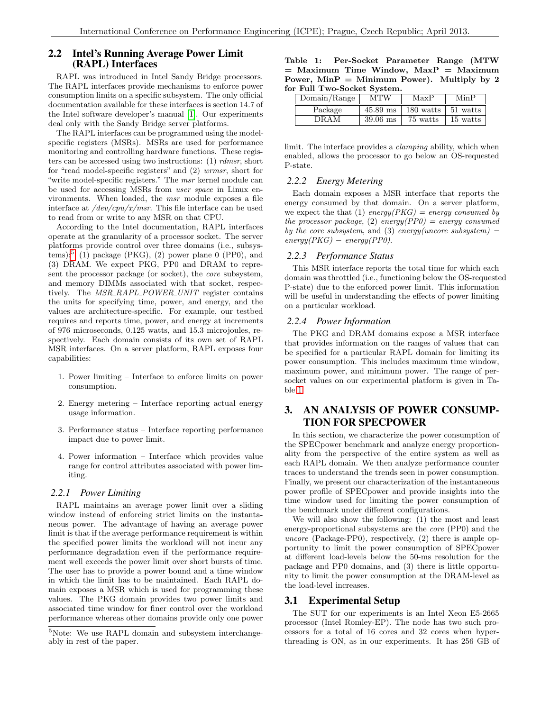## 2.2 Intel's Running Average Power Limit (RAPL) Interfaces

RAPL was introduced in Intel Sandy Bridge processors. The RAPL interfaces provide mechanisms to enforce power consumption limits on a specific subsystem. The only official documentation available for these interfaces is section 14.7 of the Intel software developer's manual [\[1\]](#page-11-6). Our experiments deal only with the Sandy Bridge server platforms.

The RAPL interfaces can be programmed using the modelspecific registers (MSRs). MSRs are used for performance monitoring and controlling hardware functions. These registers can be accessed using two instructions: (1) rdmsr, short for "read model-specific registers" and (2) wrmsr, short for "write model-specific registers." The msr kernel module can be used for accessing MSRs from user space in Linux environments. When loaded, the msr module exposes a file interface at  $/dev/cpu/x/msr$ . This file interface can be used to read from or write to any MSR on that CPU.

According to the Intel documentation, RAPL interfaces operate at the granularity of a processor socket. The server platforms provide control over three domains (i.e., subsys-tems):<sup>[5](#page-2-1)</sup> (1) package (PKG), (2) power plane  $0$  (PP0), and (3) DRAM. We expect PKG, PP0 and DRAM to represent the processor package (or socket), the core subsystem, and memory DIMMs associated with that socket, respectively. The *MSR\_RAPL\_POWER\_UNIT* register contains the units for specifying time, power, and energy, and the values are architecture-specific. For example, our testbed requires and reports time, power, and energy at increments of 976 microseconds, 0.125 watts, and 15.3 microjoules, respectively. Each domain consists of its own set of RAPL MSR interfaces. On a server platform, RAPL exposes four capabilities:

- 1. Power limiting Interface to enforce limits on power consumption.
- 2. Energy metering Interface reporting actual energy usage information.
- 3. Performance status Interface reporting performance impact due to power limit.
- 4. Power information Interface which provides value range for control attributes associated with power limiting.

#### *2.2.1 Power Limiting*

RAPL maintains an average power limit over a sliding window instead of enforcing strict limits on the instantaneous power. The advantage of having an average power limit is that if the average performance requirement is within the specified power limits the workload will not incur any performance degradation even if the performance requirement well exceeds the power limit over short bursts of time. The user has to provide a power bound and a time window in which the limit has to be maintained. Each RAPL domain exposes a MSR which is used for programming these values. The PKG domain provides two power limits and associated time window for finer control over the workload performance whereas other domains provide only one power

<span id="page-2-2"></span>Table 1: Per-Socket Parameter Range (MTW  $=$  Maximum Time Window, Max $P =$  Maximum Power,  $MinP = Minimum Power$ ). Multiply by 2 for Full Two-Socket System.

| Domain/Range | MTW        | MaxP        | MinP     |
|--------------|------------|-------------|----------|
| Package      | $45.89$ ms | $180$ watts | 51 watts |
| DRAM         | $39.06$ ms | 75 watts    | 15 watts |

limit. The interface provides a clamping ability, which when enabled, allows the processor to go below an OS-requested P-state.

#### *2.2.2 Energy Metering*

Each domain exposes a MSR interface that reports the energy consumed by that domain. On a server platform, we expect the that (1) energy( $PKG$ ) = energy consumed by the processor package, (2) energy(PP0) = energy consumed by the core subsystem, and (3) energy(uncore subsystem) =  $energy(PKG) - energy(PPO).$ 

#### *2.2.3 Performance Status*

This MSR interface reports the total time for which each domain was throttled (i.e., functioning below the OS-requested P-state) due to the enforced power limit. This information will be useful in understanding the effects of power limiting on a particular workload.

#### <span id="page-2-3"></span>*2.2.4 Power Information*

The PKG and DRAM domains expose a MSR interface that provides information on the ranges of values that can be specified for a particular RAPL domain for limiting its power consumption. This includes maximum time window, maximum power, and minimum power. The range of persocket values on our experimental platform is given in Table [1.](#page-2-2)

# <span id="page-2-0"></span>3. AN ANALYSIS OF POWER CONSUMP-TION FOR SPECPOWER

In this section, we characterize the power consumption of the SPECpower benchmark and analyze energy proportionality from the perspective of the entire system as well as each RAPL domain. We then analyze performance counter traces to understand the trends seen in power consumption. Finally, we present our characterization of the instantaneous power profile of SPECpower and provide insights into the time window used for limiting the power consumption of the benchmark under different configurations.

We will also show the following: (1) the most and least energy-proportional subsystems are the core (PP0) and the uncore (Package-PP0), respectively,  $(2)$  there is ample opportunity to limit the power consumption of SPECpower at different load-levels below the 50-ms resolution for the package and PP0 domains, and (3) there is little opportunity to limit the power consumption at the DRAM-level as the load-level increases.

#### 3.1 Experimental Setup

The SUT for our experiments is an Intel Xeon E5-2665 processor (Intel Romley-EP). The node has two such processors for a total of 16 cores and 32 cores when hyperthreading is ON, as in our experiments. It has 256 GB of

<span id="page-2-1"></span><sup>&</sup>lt;sup>5</sup>Note: We use RAPL domain and subsystem interchangeably in rest of the paper.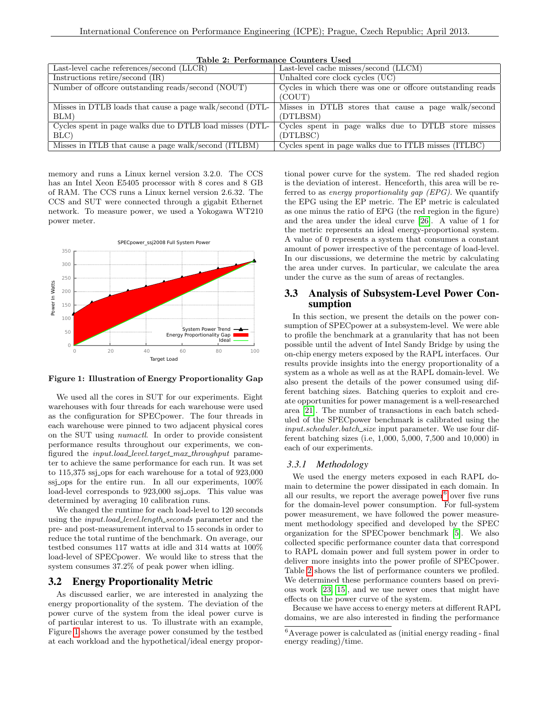| Last-level cache references/second (LLCR)                | Last-level cache misses/second (LLCM)                      |  |
|----------------------------------------------------------|------------------------------------------------------------|--|
| Instructions retire/second (IR)                          | Unhalted core clock cycles (UC)                            |  |
| Number of offcore outstanding reads/second (NOUT)        | Cycles in which there was one or offcore outstanding reads |  |
|                                                          | (COUT)                                                     |  |
| Misses in DTLB loads that cause a page walk/second (DTL- | Misses in DTLB stores that cause a page walk/second        |  |
| BLM)                                                     | (DTLBSM)                                                   |  |
| Cycles spent in page walks due to DTLB load misses (DTL- | Cycles spent in page walks due to DTLB store misses        |  |
| BLC)                                                     | (DTLBSC)                                                   |  |
| Misses in ITLB that cause a page walk/second (ITLBM)     | Cycles spent in page walks due to ITLB misses (ITLBC)      |  |

<span id="page-3-2"></span>Table 2: Performance Counters Used

memory and runs a Linux kernel version 3.2.0. The CCS has an Intel Xeon E5405 processor with 8 cores and 8 GB of RAM. The CCS runs a Linux kernel version 2.6.32. The CCS and SUT were connected through a gigabit Ethernet network. To measure power, we used a Yokogawa WT210 power meter.



<span id="page-3-0"></span>Figure 1: Illustration of Energy Proportionality Gap

We used all the cores in SUT for our experiments. Eight warehouses with four threads for each warehouse were used as the configuration for SPECpower. The four threads in each warehouse were pinned to two adjacent physical cores on the SUT using numactl. In order to provide consistent performance results throughout our experiments, we configured the *input.load\_level.target\_max\_throughput* parameter to achieve the same performance for each run. It was set to 115,375 ssj\_ops for each warehouse for a total of  $923,000$ ssj ops for the entire run. In all our experiments, 100% load-level corresponds to 923,000 ssj\_ops. This value was determined by averaging 10 calibration runs.

We changed the runtime for each load-level to 120 seconds using the *input.load\_level.length\_seconds* parameter and the pre- and post-measurement interval to 15 seconds in order to reduce the total runtime of the benchmark. On average, our testbed consumes 117 watts at idle and 314 watts at 100% load-level of SPECpower. We would like to stress that the system consumes 37.2% of peak power when idling.

## 3.2 Energy Proportionality Metric

As discussed earlier, we are interested in analyzing the energy proportionality of the system. The deviation of the power curve of the system from the ideal power curve is of particular interest to us. To illustrate with an example, Figure [1](#page-3-0) shows the average power consumed by the testbed at each workload and the hypothetical/ideal energy proportional power curve for the system. The red shaded region is the deviation of interest. Henceforth, this area will be referred to as energy proportionality gap (EPG). We quantify the EPG using the EP metric. The EP metric is calculated as one minus the ratio of EPG (the red region in the figure) and the area under the ideal curve [\[26\]](#page-11-14). A value of 1 for the metric represents an ideal energy-proportional system. A value of 0 represents a system that consumes a constant amount of power irrespective of the percentage of load-level. In our discussions, we determine the metric by calculating the area under curves. In particular, we calculate the area under the curve as the sum of areas of rectangles.

#### 3.3 Analysis of Subsystem-Level Power Consumption

In this section, we present the details on the power consumption of SPECpower at a subsystem-level. We were able to profile the benchmark at a granularity that has not been possible until the advent of Intel Sandy Bridge by using the on-chip energy meters exposed by the RAPL interfaces. Our results provide insights into the energy proportionality of a system as a whole as well as at the RAPL domain-level. We also present the details of the power consumed using different batching sizes. Batching queries to exploit and create opportunities for power management is a well-researched area [\[21\]](#page-11-15). The number of transactions in each batch scheduled of the SPECpower benchmark is calibrated using the  $input.scheduler.batch\_size$  input parameter. We use four different batching sizes (i.e, 1,000, 5,000, 7,500 and 10,000) in each of our experiments.

#### *3.3.1 Methodology*

We used the energy meters exposed in each RAPL domain to determine the power dissipated in each domain. In all our results, we report the average power<sup>[6](#page-3-1)</sup> over five runs for the domain-level power consumption. For full-system power measurement, we have followed the power measurement methodology specified and developed by the SPEC organization for the SPECpower benchmark [\[5\]](#page-11-16). We also collected specific performance counter data that correspond to RAPL domain power and full system power in order to deliver more insights into the power profile of SPECpower. Table [2](#page-3-2) shows the list of performance counters we profiled. We determined these performance counters based on previous work [\[23,](#page-11-17) [15\]](#page-11-18), and we use newer ones that might have effects on the power curve of the system.

Because we have access to energy meters at different RAPL domains, we are also interested in finding the performance

<span id="page-3-1"></span> $6A$ verage power is calculated as (initial energy reading - final energy reading)/time.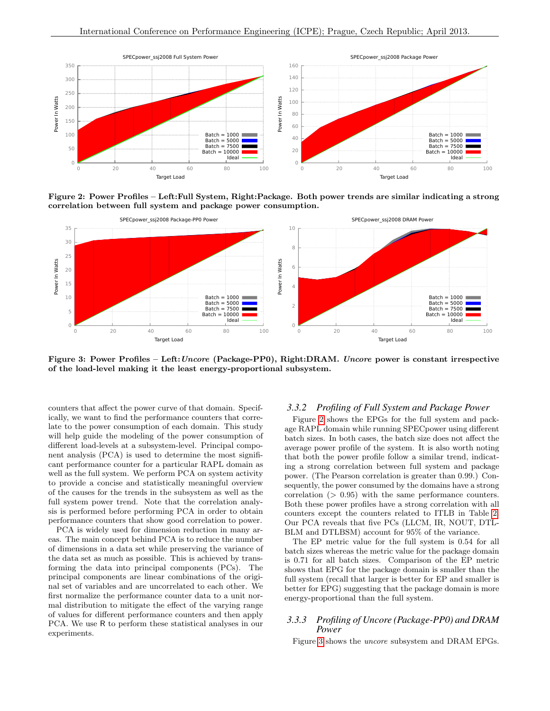

<span id="page-4-0"></span>Figure 2: Power Profiles – Left:Full System, Right:Package. Both power trends are similar indicating a strong correlation between full system and package power consumption.



<span id="page-4-1"></span>Figure 3: Power Profiles – Left:Uncore (Package-PP0), Right:DRAM. Uncore power is constant irrespective of the load-level making it the least energy-proportional subsystem.

counters that affect the power curve of that domain. Specifically, we want to find the performance counters that correlate to the power consumption of each domain. This study will help guide the modeling of the power consumption of different load-levels at a subsystem-level. Principal component analysis (PCA) is used to determine the most significant performance counter for a particular RAPL domain as well as the full system. We perform PCA on system activity to provide a concise and statistically meaningful overview of the causes for the trends in the subsystem as well as the full system power trend. Note that the correlation analysis is performed before performing PCA in order to obtain performance counters that show good correlation to power.

PCA is widely used for dimension reduction in many areas. The main concept behind PCA is to reduce the number of dimensions in a data set while preserving the variance of the data set as much as possible. This is achieved by transforming the data into principal components (PCs). The principal components are linear combinations of the original set of variables and are uncorrelated to each other. We first normalize the performance counter data to a unit normal distribution to mitigate the effect of the varying range of values for different performance counters and then apply PCA. We use R to perform these statistical analyses in our experiments.

#### *3.3.2 Profiling of Full System and Package Power*

Figure [2](#page-4-0) shows the EPGs for the full system and package RAPL domain while running SPECpower using different batch sizes. In both cases, the batch size does not affect the average power profile of the system. It is also worth noting that both the power profile follow a similar trend, indicating a strong correlation between full system and package power. (The Pearson correlation is greater than 0.99.) Consequently, the power consumed by the domains have a strong correlation  $(> 0.95)$  with the same performance counters. Both these power profiles have a strong correlation with all counters except the counters related to ITLB in Table [2.](#page-3-2) Our PCA reveals that five PCs (LLCM, IR, NOUT, DTL-BLM and DTLBSM) account for 95% of the variance.

The EP metric value for the full system is 0.54 for all batch sizes whereas the metric value for the package domain is 0.71 for all batch sizes. Comparison of the EP metric shows that EPG for the package domain is smaller than the full system (recall that larger is better for EP and smaller is better for EPG) suggesting that the package domain is more energy-proportional than the full system.

#### <span id="page-4-2"></span>*3.3.3 Profiling of Uncore (Package-PP0) and DRAM Power*

Figure [3](#page-4-1) shows the uncore subsystem and DRAM EPGs.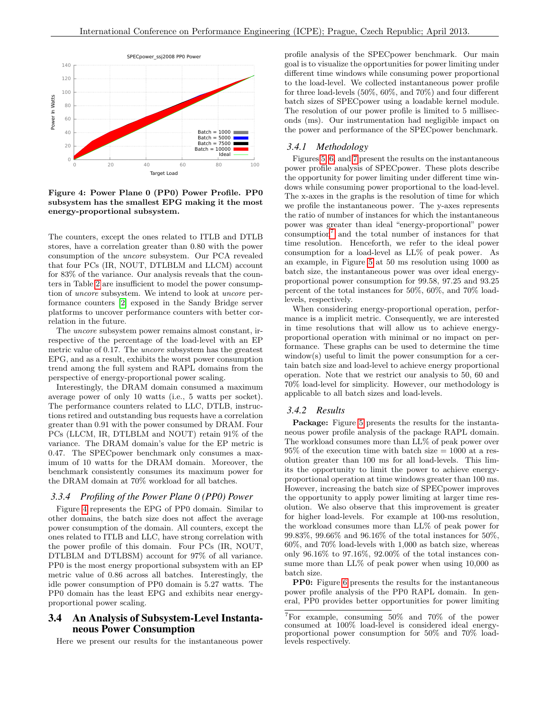

<span id="page-5-0"></span>Figure 4: Power Plane 0 (PP0) Power Profile. PP0 subsystem has the smallest EPG making it the most energy-proportional subsystem.

The counters, except the ones related to ITLB and DTLB stores, have a correlation greater than 0.80 with the power consumption of the uncore subsystem. Our PCA revealed that four PCs (IR, NOUT, DTLBLM and LLCM) account for 83% of the variance. Our analysis reveals that the counters in Table [2](#page-3-2) are insufficient to model the power consumption of uncore subsystem. We intend to look at uncore performance counters [\[2\]](#page-11-7) exposed in the Sandy Bridge server platforms to uncover performance counters with better correlation in the future.

The uncore subsystem power remains almost constant, irrespective of the percentage of the load-level with an EP metric value of 0.17. The uncore subsystem has the greatest EPG, and as a result, exhibits the worst power consumption trend among the full system and RAPL domains from the perspective of energy-proportional power scaling.

Interestingly, the DRAM domain consumed a maximum average power of only 10 watts (i.e., 5 watts per socket). The performance counters related to LLC, DTLB, instructions retired and outstanding bus requests have a correlation greater than 0.91 with the power consumed by DRAM. Four PCs (LLCM, IR, DTLBLM and NOUT) retain 91% of the variance. The DRAM domain's value for the EP metric is 0.47. The SPECpower benchmark only consumes a maximum of 10 watts for the DRAM domain. Moreover, the benchmark consistently consumes its maximum power for the DRAM domain at 70% workload for all batches.

#### *3.3.4 Profiling of the Power Plane 0 (PP0) Power*

Figure [4](#page-5-0) represents the EPG of PP0 domain. Similar to other domains, the batch size does not affect the average power consumption of the domain. All counters, except the ones related to ITLB and LLC, have strong correlation with the power profile of this domain. Four PCs (IR, NOUT, DTLBLM and DTLBSM) account for 97% of all variance. PP0 is the most energy proportional subsystem with an EP metric value of 0.86 across all batches. Interestingly, the idle power consumption of PP0 domain is 5.27 watts. The PP0 domain has the least EPG and exhibits near energyproportional power scaling.

## 3.4 An Analysis of Subsystem-Level Instantaneous Power Consumption

Here we present our results for the instantaneous power

profile analysis of the SPECpower benchmark. Our main goal is to visualize the opportunities for power limiting under different time windows while consuming power proportional to the load-level. We collected instantaneous power profile for three load-levels (50%, 60%, and 70%) and four different batch sizes of SPECpower using a loadable kernel module. The resolution of our power profile is limited to 5 milliseconds (ms). Our instrumentation had negligible impact on the power and performance of the SPECpower benchmark.

#### *3.4.1 Methodology*

Figures [5,](#page-6-0) [6,](#page-6-1) and [7](#page-6-2) present the results on the instantaneous power profile analysis of SPECpower. These plots describe the opportunity for power limiting under different time windows while consuming power proportional to the load-level. The x-axes in the graphs is the resolution of time for which we profile the instantaneous power. The y-axes represents the ratio of number of instances for which the instantaneous power was greater than ideal "energy-proportional" power consumption[7](#page-5-1) and the total number of instances for that time resolution. Henceforth, we refer to the ideal power consumption for a load-level as LL% of peak power. As an example, in Figure [5](#page-6-0) at 50 ms resolution using 1000 as batch size, the instantaneous power was over ideal energyproportional power consumption for 99.58, 97.25 and 93.25 percent of the total instances for 50%, 60%, and 70% loadlevels, respectively.

When considering energy-proportional operation, performance is a implicit metric. Consequently, we are interested in time resolutions that will allow us to achieve energyproportional operation with minimal or no impact on performance. These graphs can be used to determine the time window(s) useful to limit the power consumption for a certain batch size and load-level to achieve energy proportional operation. Note that we restrict our analysis to 50, 60 and 70% load-level for simplicity. However, our methodology is applicable to all batch sizes and load-levels.

#### *3.4.2 Results*

Package: Figure [5](#page-6-0) presents the results for the instantaneous power profile analysis of the package RAPL domain. The workload consumes more than LL% of peak power over  $95\%$  of the execution time with batch size  $= 1000$  at a resolution greater than 100 ms for all load-levels. This limits the opportunity to limit the power to achieve energyproportional operation at time windows greater than 100 ms. However, increasing the batch size of SPECpower improves the opportunity to apply power limiting at larger time resolution. We also observe that this improvement is greater for higher load-levels. For example at 100-ms resolution, the workload consumes more than LL% of peak power for 99.83%, 99.66% and 96.16% of the total instances for 50%, 60%, and 70% load-levels with 1,000 as batch size, whereas only 96.16% to 97.16%, 92.00% of the total instances consume more than LL% of peak power when using 10,000 as batch size.

PP0: Figure [6](#page-6-1) presents the results for the instantaneous power profile analysis of the PP0 RAPL domain. In general, PP0 provides better opportunities for power limiting

<span id="page-5-1"></span><sup>7</sup>For example, consuming 50% and 70% of the power consumed at 100% load-level is considered ideal energyproportional power consumption for 50% and 70% loadlevels respectively.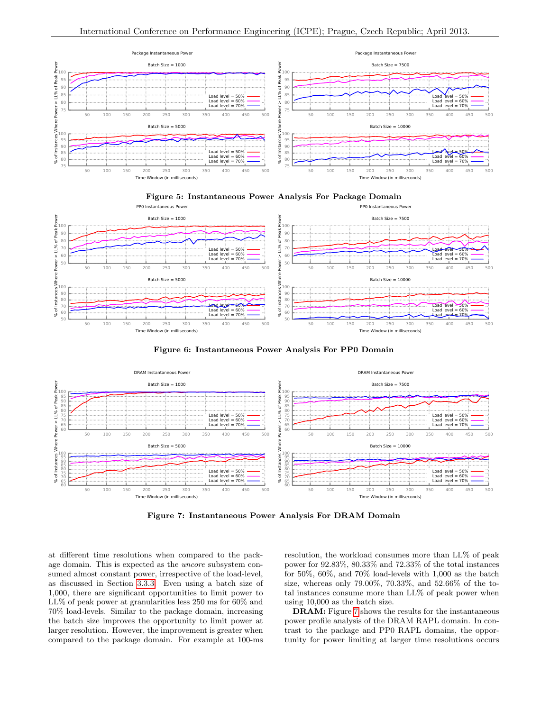

<span id="page-6-0"></span>



<span id="page-6-1"></span>Figure 6: Instantaneous Power Analysis For PP0 Domain



<span id="page-6-2"></span>Figure 7: Instantaneous Power Analysis For DRAM Domain

at different time resolutions when compared to the package domain. This is expected as the uncore subsystem consumed almost constant power, irrespective of the load-level, as discussed in Section [3.3.3.](#page-4-2) Even using a batch size of 1,000, there are significant opportunities to limit power to LL% of peak power at granularities less 250 ms for 60% and 70% load-levels. Similar to the package domain, increasing the batch size improves the opportunity to limit power at larger resolution. However, the improvement is greater when compared to the package domain. For example at 100-ms

resolution, the workload consumes more than LL% of peak power for 92.83%, 80.33% and 72.33% of the total instances for 50%, 60%, and 70% load-levels with 1,000 as the batch size, whereas only 79.00%, 70.33%, and 52.66% of the total instances consume more than LL% of peak power when using 10,000 as the batch size.

DRAM: Figure [7](#page-6-2) shows the results for the instantaneous power profile analysis of the DRAM RAPL domain. In contrast to the package and PP0 RAPL domains, the opportunity for power limiting at larger time resolutions occurs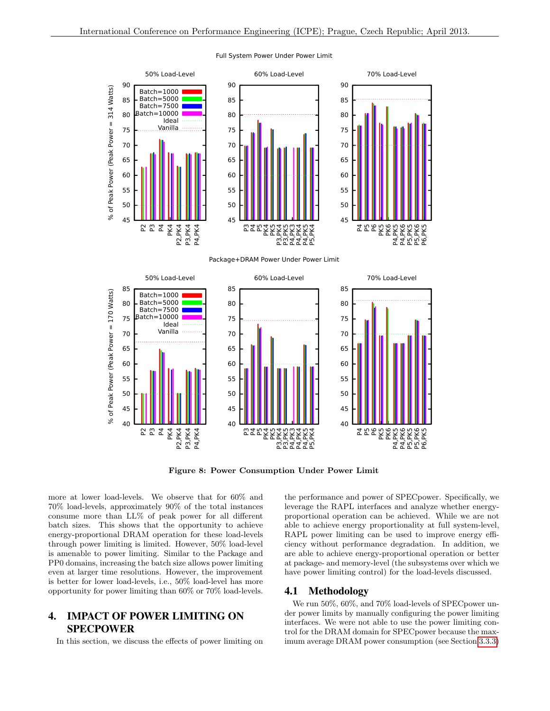

#### Full System Power Under Power Limit

<span id="page-7-1"></span>Figure 8: Power Consumption Under Power Limit

more at lower load-levels. We observe that for 60% and 70% load-levels, approximately 90% of the total instances consume more than LL% of peak power for all different batch sizes. This shows that the opportunity to achieve energy-proportional DRAM operation for these load-levels through power limiting is limited. However, 50% load-level is amenable to power limiting. Similar to the Package and PP0 domains, increasing the batch size allows power limiting even at larger time resolutions. However, the improvement is better for lower load-levels, i.e., 50% load-level has more opportunity for power limiting than 60% or 70% load-levels.

## <span id="page-7-0"></span>4. IMPACT OF POWER LIMITING ON SPECPOWER

In this section, we discuss the effects of power limiting on

the performance and power of SPECpower. Specifically, we leverage the RAPL interfaces and analyze whether energyproportional operation can be achieved. While we are not able to achieve energy proportionality at full system-level, RAPL power limiting can be used to improve energy efficiency without performance degradation. In addition, we are able to achieve energy-proportional operation or better at package- and memory-level (the subsystems over which we have power limiting control) for the load-levels discussed.

## 4.1 Methodology

We run 50%, 60%, and 70% load-levels of SPECpower under power limits by manually configuring the power limiting interfaces. We were not able to use the power limiting control for the DRAM domain for SPECpower because the maximum average DRAM power consumption (see Section [3.3.3\)](#page-4-2)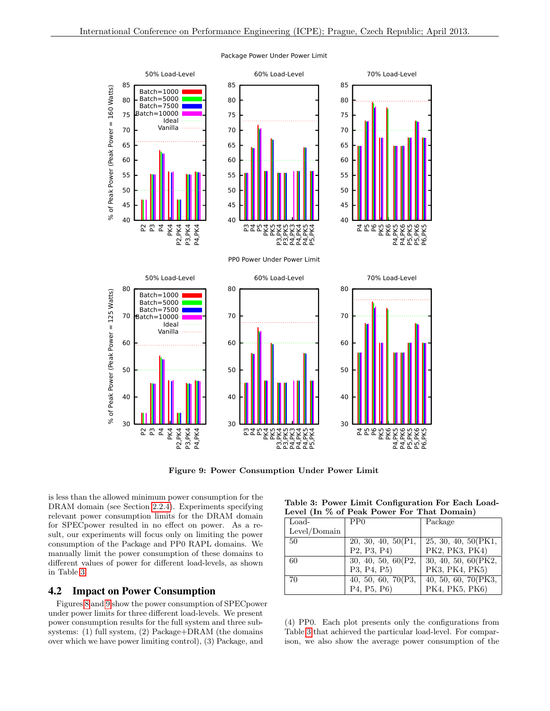

#### Package Power Under Power Limit

<span id="page-8-1"></span>Figure 9: Power Consumption Under Power Limit

is less than the allowed minimum power consumption for the DRAM domain (see Section [2.2.4\)](#page-2-3). Experiments specifying relevant power consumption limits for the DRAM domain for SPECpower resulted in no effect on power. As a result, our experiments will focus only on limiting the power consumption of the Package and PP0 RAPL domains. We manually limit the power consumption of these domains to different values of power for different load-levels, as shown in Table [3.](#page-8-0)

### 4.2 Impact on Power Consumption

Figures [8](#page-7-1) and [9](#page-8-1) show the power consumption of SPECpower under power limits for three different load-levels. We present power consumption results for the full system and three subsystems: (1) full system, (2) Package+DRAM (the domains over which we have power limiting control), (3) Package, and

<span id="page-8-0"></span>Table 3: Power Limit Configuration For Each Load-Level (In % of Peak Power For That Domain)

| Load-        | PP0                | Package             |
|--------------|--------------------|---------------------|
| Level/Domain |                    |                     |
| -50          | 20, 30, 40, 50(P1, | 25, 30, 40, 50(PK1, |
|              | P2, P3, P4)        | PK2, PK3, PK4)      |
| -60          | 30, 40, 50, 60(P2, | 30, 40, 50, 60(PK2, |
|              | P3, P4, P5)        | PK3, PK4, PK5)      |
| -70          | 40, 50, 60, 70(P3, | 40, 50, 60, 70(PK3, |
|              | P4, P5, P6)        | PK4, PK5, PK6)      |

(4) PP0. Each plot presents only the configurations from Table [3](#page-8-0) that achieved the particular load-level. For comparison, we also show the average power consumption of the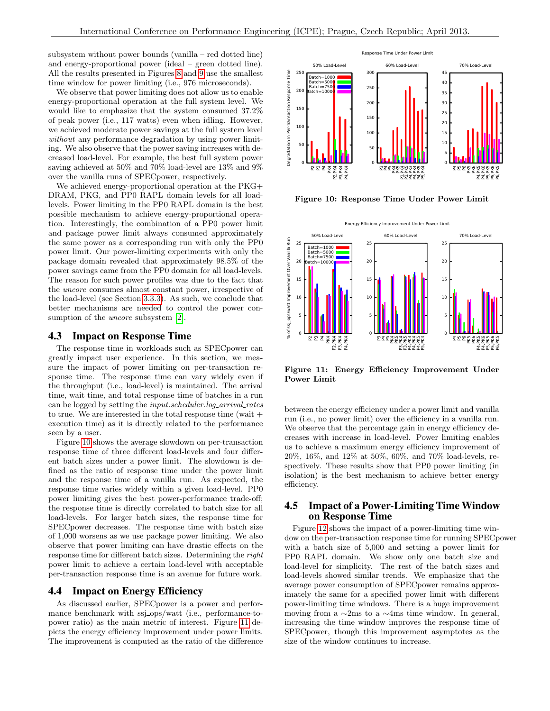subsystem without power bounds (vanilla – red dotted line) and energy-proportional power (ideal – green dotted line). All the results presented in Figures [8](#page-7-1) and [9](#page-8-1) use the smallest time window for power limiting (i.e., 976 microseconds).

We observe that power limiting does not allow us to enable energy-proportional operation at the full system level. We would like to emphasize that the system consumed 37.2% of peak power (i.e., 117 watts) even when idling. However, we achieved moderate power savings at the full system level without any performance degradation by using power limiting. We also observe that the power saving increases with decreased load-level. For example, the best full system power saving achieved at 50% and 70% load-level are 13% and 9% over the vanilla runs of SPECpower, respectively.

We achieved energy-proportional operation at the PKG+ DRAM, PKG, and PP0 RAPL domain levels for all loadlevels. Power limiting in the PP0 RAPL domain is the best possible mechanism to achieve energy-proportional operation. Interestingly, the combination of a PP0 power limit and package power limit always consumed approximately the same power as a corresponding run with only the PP0 power limit. Our power-limiting experiments with only the package domain revealed that approximately 98.5% of the power savings came from the PP0 domain for all load-levels. The reason for such power profiles was due to the fact that the uncore consumes almost constant power, irrespective of the load-level (see Section [3.3.3\)](#page-4-2). As such, we conclude that better mechanisms are needed to control the power consumption of the *uncore* subsystem [\[2\]](#page-11-7).

#### 4.3 Impact on Response Time

The response time in workloads such as SPECpower can greatly impact user experience. In this section, we measure the impact of power limiting on per-transaction response time. The response time can vary widely even if the throughput (i.e., load-level) is maintained. The arrival time, wait time, and total response time of batches in a run can be logged by setting the *input.scheduler.log\_arrival\_rates* to true. We are interested in the total response time (wait  $+$ execution time) as it is directly related to the performance seen by a user.

Figure [10](#page-9-0) shows the average slowdown on per-transaction response time of three different load-levels and four different batch sizes under a power limit. The slowdown is defined as the ratio of response time under the power limit and the response time of a vanilla run. As expected, the response time varies widely within a given load-level. PP0 power limiting gives the best power-performance trade-off; the response time is directly correlated to batch size for all load-levels. For larger batch sizes, the response time for SPECpower decreases. The response time with batch size of 1,000 worsens as we use package power limiting. We also observe that power limiting can have drastic effects on the response time for different batch sizes. Determining the *right* power limit to achieve a certain load-level with acceptable per-transaction response time is an avenue for future work.

## 4.4 Impact on Energy Efficiency

As discussed earlier, SPECpower is a power and performance benchmark with ssj\_ops/watt (i.e., performance-topower ratio) as the main metric of interest. Figure [11](#page-9-1) depicts the energy efficiency improvement under power limits. The improvement is computed as the ratio of the difference



<span id="page-9-0"></span>Figure 10: Response Time Under Power Limit



<span id="page-9-1"></span>Figure 11: Energy Efficiency Improvement Under Power Limit

between the energy efficiency under a power limit and vanilla run (i.e., no power limit) over the efficiency in a vanilla run. We observe that the percentage gain in energy efficiency decreases with increase in load-level. Power limiting enables us to achieve a maximum energy efficiency improvement of 20%, 16%, and 12% at 50%, 60%, and 70% load-levels, respectively. These results show that PP0 power limiting (in isolation) is the best mechanism to achieve better energy efficiency.

## 4.5 Impact of a Power-Limiting Time Window on Response Time

Figure [12](#page-10-2) shows the impact of a power-limiting time window on the per-transaction response time for running SPECpower with a batch size of 5,000 and setting a power limit for PP0 RAPL domain. We show only one batch size and load-level for simplicity. The rest of the batch sizes and load-levels showed similar trends. We emphasize that the average power consumption of SPECpower remains approximately the same for a specified power limit with different power-limiting time windows. There is a huge improvement moving from a  $\sim$ 2ms to a  $\sim$ 4ms time window. In general, increasing the time window improves the response time of SPECpower, though this improvement asymptotes as the size of the window continues to increase.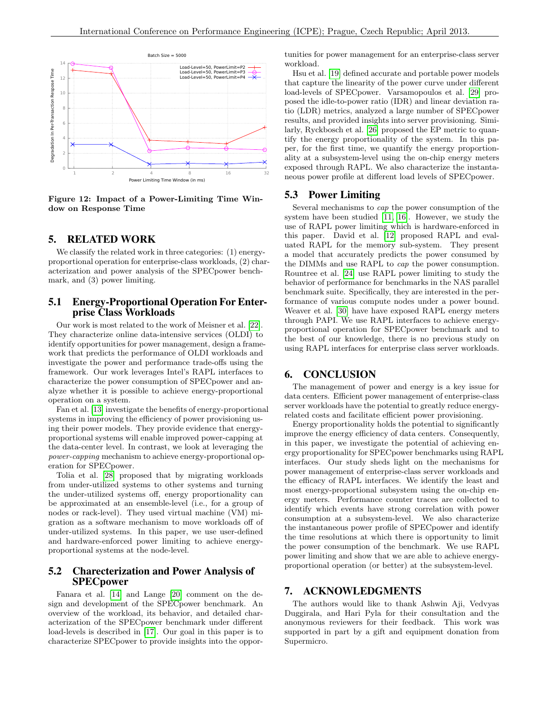

<span id="page-10-2"></span>Figure 12: Impact of a Power-Limiting Time Window on Response Time

#### <span id="page-10-0"></span>5. RELATED WORK

We classify the related work in three categories:  $(1)$  energyproportional operation for enterprise-class workloads, (2) characterization and power analysis of the SPECpower benchmark, and (3) power limiting.

## 5.1 Energy-Proportional Operation For Enterprise Class Workloads

Our work is most related to the work of Meisner et al. [\[22\]](#page-11-19). They characterize online data-intensive services (OLDI) to identify opportunities for power management, design a framework that predicts the performance of OLDI workloads and investigate the power and performance trade-offs using the framework. Our work leverages Intel's RAPL interfaces to characterize the power consumption of SPECpower and analyze whether it is possible to achieve energy-proportional operation on a system.

Fan et al. [\[13\]](#page-11-0) investigate the benefits of energy-proportional systems in improving the efficiency of power provisioning using their power models. They provide evidence that energyproportional systems will enable improved power-capping at the data-center level. In contrast, we look at leveraging the power-capping mechanism to achieve energy-proportional operation for SPECpower.

Tolia et al. [\[28\]](#page-11-20) proposed that by migrating workloads from under-utilized systems to other systems and turning the under-utilized systems off, energy proportionality can be approximated at an ensemble-level (i.e., for a group of nodes or rack-level). They used virtual machine (VM) migration as a software mechanism to move workloads off of under-utilized systems. In this paper, we use user-defined and hardware-enforced power limiting to achieve energyproportional systems at the node-level.

## 5.2 Charecterization and Power Analysis of **SPECpower**

Fanara et al. [\[14\]](#page-11-21) and Lange [\[20\]](#page-11-22) comment on the design and development of the SPECpower benchmark. An overview of the workload, its behavior, and detailed characterization of the SPECpower benchmark under different load-levels is described in [\[17\]](#page-11-23). Our goal in this paper is to characterize SPECpower to provide insights into the opportunities for power management for an enterprise-class server workload.

Hsu et al. [\[19\]](#page-11-24) defined accurate and portable power models that capture the linearity of the power curve under different load-levels of SPECpower. Varsamopoulos et al. [\[29\]](#page-11-25) proposed the idle-to-power ratio (IDR) and linear deviation ratio (LDR) metrics, analyzed a large number of SPECpower results, and provided insights into server provisioning. Similarly, Ryckbosch et al. [\[26\]](#page-11-14) proposed the EP metric to quantify the energy proportionality of the system. In this paper, for the first time, we quantify the energy proportionality at a subsystem-level using the on-chip energy meters exposed through RAPL. We also characterize the instantaneous power profile at different load levels of SPECpower.

#### 5.3 Power Limiting

Several mechanisms to cap the power consumption of the system have been studied [\[11,](#page-11-26) [16\]](#page-11-27). However, we study the use of RAPL power limiting which is hardware-enforced in this paper. David et al. [\[12\]](#page-11-5) proposed RAPL and evaluated RAPL for the memory sub-system. They present a model that accurately predicts the power consumed by the DIMMs and use RAPL to cap the power consumption. Rountree et al. [\[24\]](#page-11-28) use RAPL power limiting to study the behavior of performance for benchmarks in the NAS parallel benchmark suite. Specifically, they are interested in the performance of various compute nodes under a power bound. Weaver et al. [\[30\]](#page-11-29) have have exposed RAPL energy meters through PAPI. We use RAPL interfaces to achieve energyproportional operation for SPECpower benchmark and to the best of our knowledge, there is no previous study on using RAPL interfaces for enterprise class server workloads.

## <span id="page-10-1"></span>6. CONCLUSION

The management of power and energy is a key issue for data centers. Efficient power management of enterprise-class server workloads have the potential to greatly reduce energyrelated costs and facilitate efficient power provisioning.

Energy proportionality holds the potential to significantly improve the energy efficiency of data centers. Consequently, in this paper, we investigate the potential of achieving energy proportionality for SPECpower benchmarks using RAPL interfaces. Our study sheds light on the mechanisms for power management of enterprise-class server workloads and the efficacy of RAPL interfaces. We identify the least and most energy-proportional subsystem using the on-chip energy meters. Performance counter traces are collected to identify which events have strong correlation with power consumption at a subsystem-level. We also characterize the instantaneous power profile of SPECpower and identify the time resolutions at which there is opportunity to limit the power consumption of the benchmark. We use RAPL power limiting and show that we are able to achieve energyproportional operation (or better) at the subsystem-level.

### 7. ACKNOWLEDGMENTS

The authors would like to thank Ashwin Aji, Vedvyas Duggirala, and Hari Pyla for their consultation and the anonymous reviewers for their feedback. This work was supported in part by a gift and equipment donation from Supermicro.